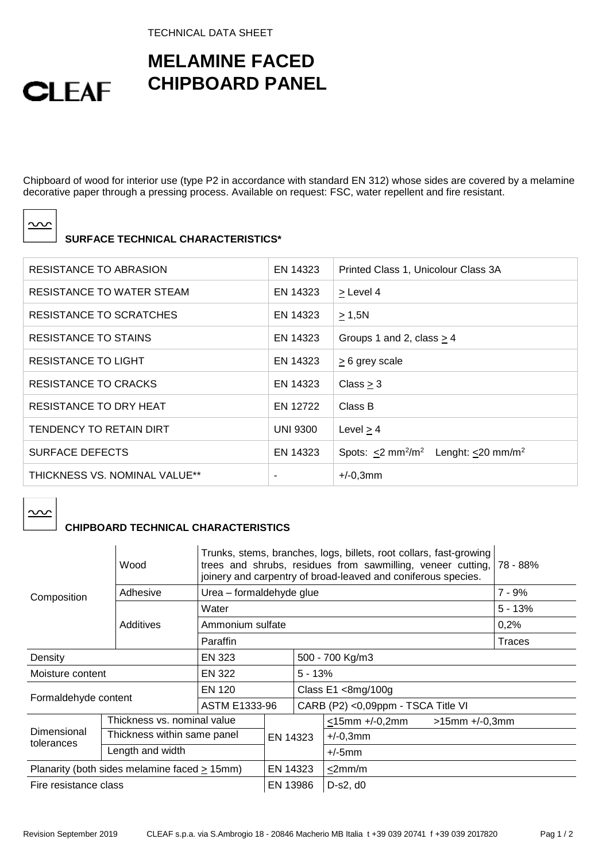TECHNICAL DATA SHEET

## **MELAMINE FACED CHIPBOARD PANEL**

Chipboard of wood for interior use (type P2 in accordance with standard EN 312) whose sides are covered by a melamine decorative paper through a pressing process. Available on request: FSC, water repellent and fire resistant.

| ×<br>× |
|--------|
|        |

**CLEAF** 

## **SURFACE TECHNICAL CHARACTERISTICS\***

| RESISTANCE TO ABRASION        | EN 14323        | Printed Class 1, Unicolour Class 3A                                                 |
|-------------------------------|-----------------|-------------------------------------------------------------------------------------|
| RESISTANCE TO WATER STEAM     | EN 14323        | > Level 4                                                                           |
| RESISTANCE TO SCRATCHES       | EN 14323        | $\geq 1,5N$                                                                         |
| RESISTANCE TO STAINS          | EN 14323        | Groups 1 and 2, class $> 4$                                                         |
| <b>RESISTANCE TO LIGHT</b>    | EN 14323        | $\geq$ 6 grey scale                                                                 |
| RESISTANCE TO CRACKS          | EN 14323        | Class > 3                                                                           |
| <b>RESISTANCE TO DRY HEAT</b> | EN 12722        | Class B                                                                             |
| TENDENCY TO RETAIN DIRT       | <b>UNI 9300</b> | Level $> 4$                                                                         |
| <b>SURFACE DEFECTS</b>        | EN 14323        | Spots: $\leq$ 2 mm <sup>2</sup> /m <sup>2</sup><br>Lenght: $<$ 20 mm/m <sup>2</sup> |
| THICKNESS VS. NOMINAL VALUE** |                 | $+/-0,3mm$                                                                          |

<u>ာပ</u>

## **CHIPBOARD TECHNICAL CHARACTERISTICS**

|                                              | Wood                        | Trunks, stems, branches, logs, billets, root collars, fast-growing<br>trees and shrubs, residues from sawmilling, veneer cutting, 78 - 88%<br>joinery and carpentry of broad-leaved and coniferous species. |           |              |                                    |                      |           |  |
|----------------------------------------------|-----------------------------|-------------------------------------------------------------------------------------------------------------------------------------------------------------------------------------------------------------|-----------|--------------|------------------------------------|----------------------|-----------|--|
| Composition                                  | Adhesive                    | Urea - formaldehyde glue                                                                                                                                                                                    |           |              |                                    |                      | 7 - 9%    |  |
|                                              |                             | Water                                                                                                                                                                                                       |           |              |                                    |                      | $5 - 13%$ |  |
|                                              | Additives                   | Ammonium sulfate                                                                                                                                                                                            |           |              |                                    |                      | 0,2%      |  |
|                                              |                             | Paraffin                                                                                                                                                                                                    |           |              |                                    |                      | Traces    |  |
| Density                                      |                             | EN 323                                                                                                                                                                                                      |           |              | 500 - 700 Kg/m3                    |                      |           |  |
| EN 322<br>Moisture content                   |                             |                                                                                                                                                                                                             | $5 - 13%$ |              |                                    |                      |           |  |
| Formaldehyde content                         |                             | EN 120                                                                                                                                                                                                      |           |              | Class $E1 < 8$ mg/100g             |                      |           |  |
|                                              |                             | <b>ASTM E1333-96</b>                                                                                                                                                                                        |           |              | CARB (P2) <0,09ppm - TSCA Title VI |                      |           |  |
| Dimensional<br>tolerances                    | Thickness vs. nominal value |                                                                                                                                                                                                             | EN 14323  |              | <15mm +/-0,2mm                     | $>15$ mm $+/-0,3$ mm |           |  |
|                                              | Thickness within same panel |                                                                                                                                                                                                             |           |              | $+/-0,3mm$                         |                      |           |  |
|                                              | Length and width            |                                                                                                                                                                                                             |           | $+/-5$ mm    |                                    |                      |           |  |
| Planarity (both sides melamine faced > 15mm) |                             | EN 14323                                                                                                                                                                                                    |           | $\leq$ 2mm/m |                                    |                      |           |  |
| Fire resistance class                        |                             | EN 13986                                                                                                                                                                                                    |           | $D-s2, d0$   |                                    |                      |           |  |